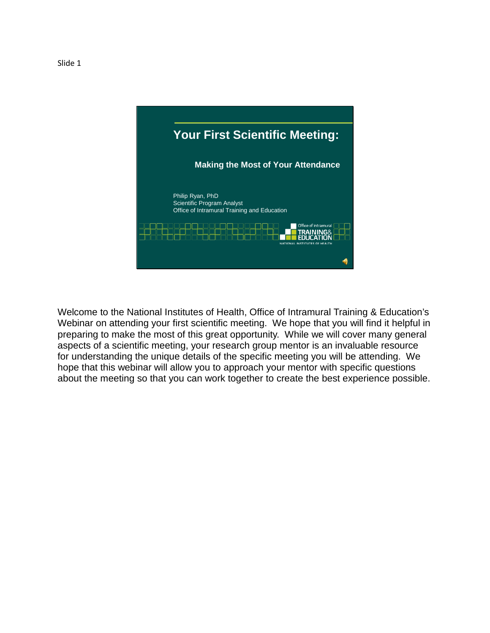

Welcome to the National Institutes of Health, Office of Intramural Training & Education's Webinar on attending your first scientific meeting. We hope that you will find it helpful in preparing to make the most of this great opportunity. While we will cover many general aspects of a scientific meeting, your research group mentor is an invaluable resource for understanding the unique details of the specific meeting you will be attending. We hope that this webinar will allow you to approach your mentor with specific questions about the meeting so that you can work together to create the best experience possible.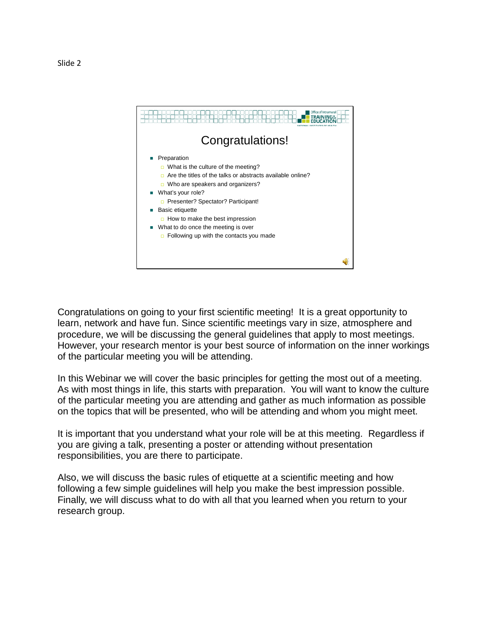

Congratulations on going to your first scientific meeting! It is a great opportunity to learn, network and have fun. Since scientific meetings vary in size, atmosphere and procedure, we will be discussing the general guidelines that apply to most meetings. However, your research mentor is your best source of information on the inner workings of the particular meeting you will be attending.

In this Webinar we will cover the basic principles for getting the most out of a meeting. As with most things in life, this starts with preparation. You will want to know the culture of the particular meeting you are attending and gather as much information as possible on the topics that will be presented, who will be attending and whom you might meet.

It is important that you understand what your role will be at this meeting. Regardless if you are giving a talk, presenting a poster or attending without presentation responsibilities, you are there to participate.

Also, we will discuss the basic rules of etiquette at a scientific meeting and how following a few simple guidelines will help you make the best impression possible. Finally, we will discuss what to do with all that you learned when you return to your research group.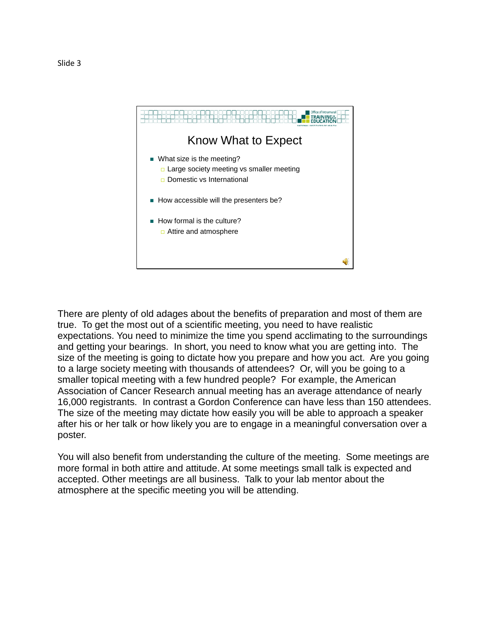

There are plenty of old adages about the benefits of preparation and most of them are true. To get the most out of a scientific meeting, you need to have realistic expectations. You need to minimize the time you spend acclimating to the surroundings and getting your bearings. In short, you need to know what you are getting into. The size of the meeting is going to dictate how you prepare and how you act. Are you going to a large society meeting with thousands of attendees? Or, will you be going to a smaller topical meeting with a few hundred people? For example, the American Association of Cancer Research annual meeting has an average attendance of nearly 16,000 registrants. In contrast a Gordon Conference can have less than 150 attendees. The size of the meeting may dictate how easily you will be able to approach a speaker after his or her talk or how likely you are to engage in a meaningful conversation over a poster.

You will also benefit from understanding the culture of the meeting. Some meetings are more formal in both attire and attitude. At some meetings small talk is expected and accepted. Other meetings are all business. Talk to your lab mentor about the atmosphere at the specific meeting you will be attending.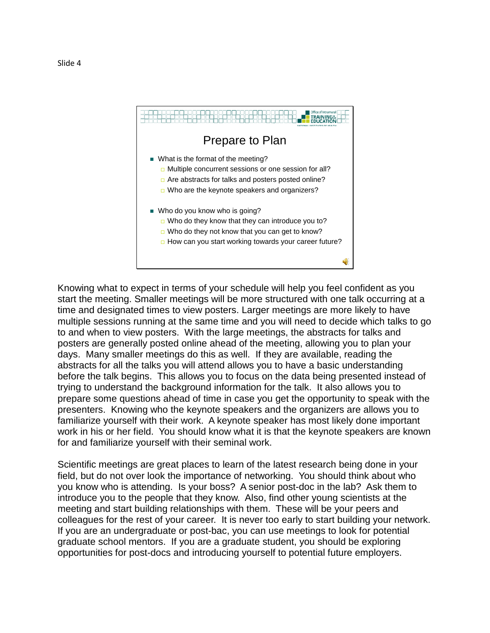

Knowing what to expect in terms of your schedule will help you feel confident as you start the meeting. Smaller meetings will be more structured with one talk occurring at a time and designated times to view posters. Larger meetings are more likely to have multiple sessions running at the same time and you will need to decide which talks to go to and when to view posters. With the large meetings, the abstracts for talks and posters are generally posted online ahead of the meeting, allowing you to plan your days. Many smaller meetings do this as well. If they are available, reading the abstracts for all the talks you will attend allows you to have a basic understanding before the talk begins. This allows you to focus on the data being presented instead of trying to understand the background information for the talk. It also allows you to prepare some questions ahead of time in case you get the opportunity to speak with the presenters. Knowing who the keynote speakers and the organizers are allows you to familiarize yourself with their work. A keynote speaker has most likely done important work in his or her field. You should know what it is that the keynote speakers are known for and familiarize yourself with their seminal work.

Scientific meetings are great places to learn of the latest research being done in your field, but do not over look the importance of networking. You should think about who you know who is attending. Is your boss? A senior post-doc in the lab? Ask them to introduce you to the people that they know. Also, find other young scientists at the meeting and start building relationships with them. These will be your peers and colleagues for the rest of your career. It is never too early to start building your network. If you are an undergraduate or post-bac, you can use meetings to look for potential graduate school mentors. If you are a graduate student, you should be exploring opportunities for post-docs and introducing yourself to potential future employers.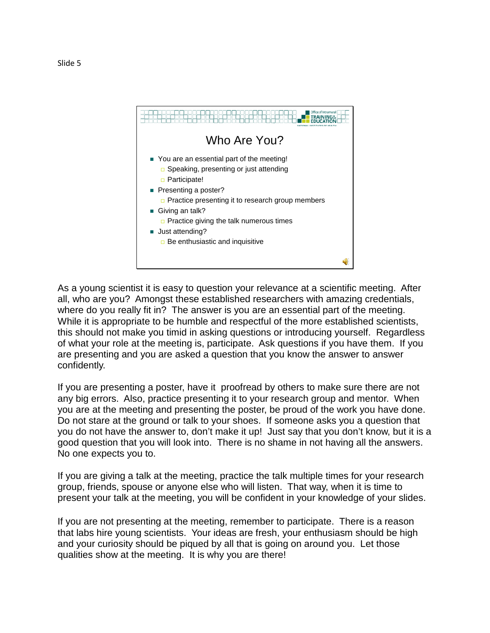

As a young scientist it is easy to question your relevance at a scientific meeting. After all, who are you? Amongst these established researchers with amazing credentials, where do you really fit in? The answer is you are an essential part of the meeting. While it is appropriate to be humble and respectful of the more established scientists, this should not make you timid in asking questions or introducing yourself. Regardless of what your role at the meeting is, participate. Ask questions if you have them. If you are presenting and you are asked a question that you know the answer to answer confidently.

If you are presenting a poster, have it proofread by others to make sure there are not any big errors. Also, practice presenting it to your research group and mentor. When you are at the meeting and presenting the poster, be proud of the work you have done. Do not stare at the ground or talk to your shoes. If someone asks you a question that you do not have the answer to, don't make it up! Just say that you don't know, but it is a good question that you will look into. There is no shame in not having all the answers. No one expects you to.

If you are giving a talk at the meeting, practice the talk multiple times for your research group, friends, spouse or anyone else who will listen. That way, when it is time to present your talk at the meeting, you will be confident in your knowledge of your slides.

If you are not presenting at the meeting, remember to participate. There is a reason that labs hire young scientists. Your ideas are fresh, your enthusiasm should be high and your curiosity should be piqued by all that is going on around you. Let those qualities show at the meeting. It is why you are there!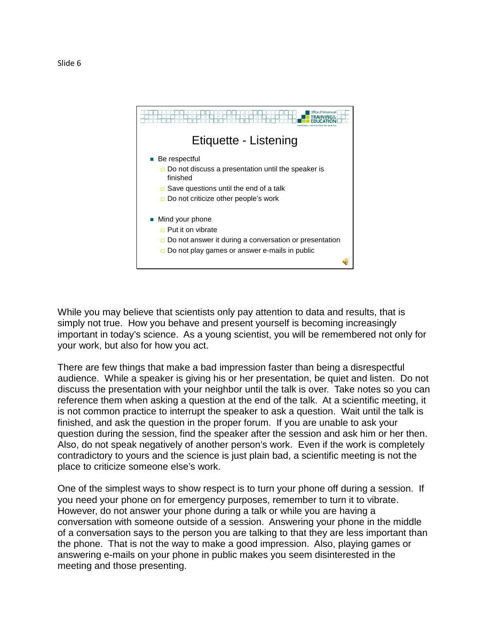

While you may believe that scientists only pay attention to data and results, that is simply not true. How you behave and present yourself is becoming increasingly important in today's science. As a young scientist, you will be remembered not only for your work, but also for how you act.

There are few things that make a bad impression faster than being a disrespectful audience. While a speaker is giving his or her presentation, be quiet and listen. Do not discuss the presentation with your neighbor until the talk is over. Take notes so you can reference them when asking a question at the end of the talk. At a scientific meeting, it is not common practice to interrupt the speaker to ask a question. Wait until the talk is finished, and ask the question in the proper forum. If you are unable to ask your question during the session, find the speaker after the session and ask him or her then. Also, do not speak negatively of another person's work. Even if the work is completely contradictory to yours and the science is just plain bad, a scientific meeting is not the place to criticize someone else's work.

One of the simplest ways to show respect is to turn your phone off during a session. If you need your phone on for emergency purposes, remember to turn it to vibrate. However, do not answer your phone during a talk or while you are having a conversation with someone outside of a session. Answering your phone in the middle of a conversation says to the person you are talking to that they are less important than the phone. That is not the way to make a good impression. Also, playing games or answering e-mails on your phone in public makes you seem disinterested in the meeting and those presenting.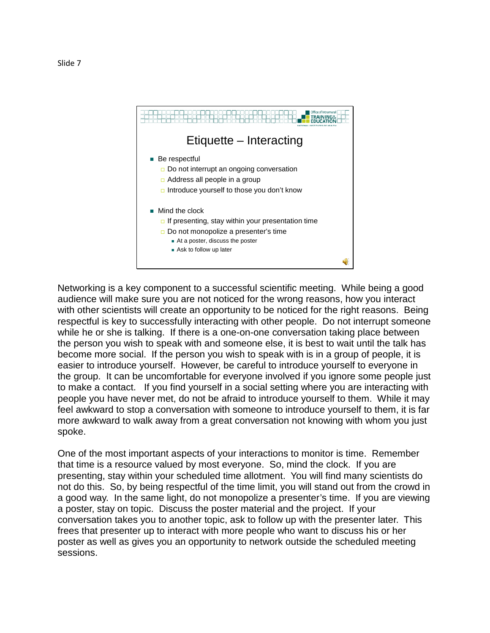

Networking is a key component to a successful scientific meeting. While being a good audience will make sure you are not noticed for the wrong reasons, how you interact with other scientists will create an opportunity to be noticed for the right reasons. Being respectful is key to successfully interacting with other people. Do not interrupt someone while he or she is talking. If there is a one-on-one conversation taking place between the person you wish to speak with and someone else, it is best to wait until the talk has become more social. If the person you wish to speak with is in a group of people, it is easier to introduce yourself. However, be careful to introduce yourself to everyone in the group. It can be uncomfortable for everyone involved if you ignore some people just to make a contact. If you find yourself in a social setting where you are interacting with people you have never met, do not be afraid to introduce yourself to them. While it may feel awkward to stop a conversation with someone to introduce yourself to them, it is far more awkward to walk away from a great conversation not knowing with whom you just spoke.

One of the most important aspects of your interactions to monitor is time. Remember that time is a resource valued by most everyone. So, mind the clock. If you are presenting, stay within your scheduled time allotment. You will find many scientists do not do this. So, by being respectful of the time limit, you will stand out from the crowd in a good way. In the same light, do not monopolize a presenter's time. If you are viewing a poster, stay on topic. Discuss the poster material and the project. If your conversation takes you to another topic, ask to follow up with the presenter later. This frees that presenter up to interact with more people who want to discuss his or her poster as well as gives you an opportunity to network outside the scheduled meeting sessions.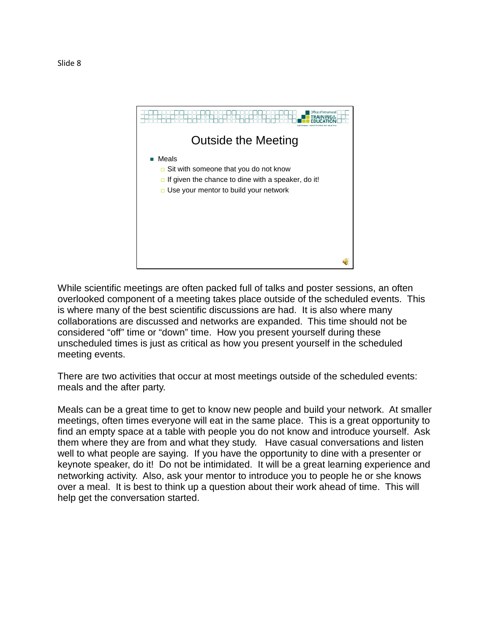

While scientific meetings are often packed full of talks and poster sessions, an often overlooked component of a meeting takes place outside of the scheduled events. This is where many of the best scientific discussions are had. It is also where many collaborations are discussed and networks are expanded. This time should not be considered "off" time or "down" time. How you present yourself during these unscheduled times is just as critical as how you present yourself in the scheduled meeting events.

There are two activities that occur at most meetings outside of the scheduled events: meals and the after party.

Meals can be a great time to get to know new people and build your network. At smaller meetings, often times everyone will eat in the same place. This is a great opportunity to find an empty space at a table with people you do not know and introduce yourself. Ask them where they are from and what they study. Have casual conversations and listen well to what people are saying. If you have the opportunity to dine with a presenter or keynote speaker, do it! Do not be intimidated. It will be a great learning experience and networking activity. Also, ask your mentor to introduce you to people he or she knows over a meal. It is best to think up a question about their work ahead of time. This will help get the conversation started.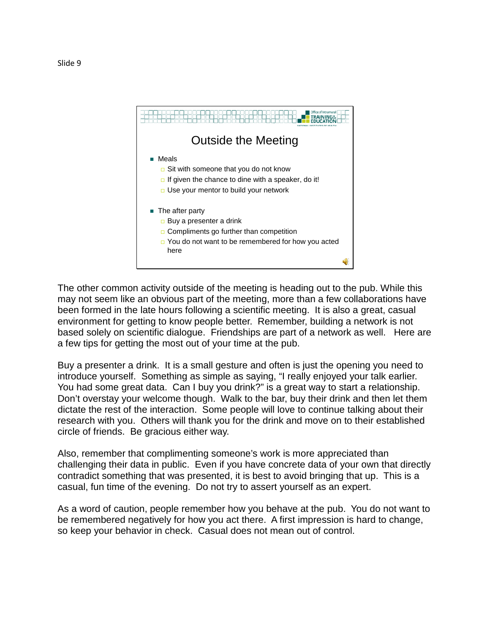

The other common activity outside of the meeting is heading out to the pub. While this may not seem like an obvious part of the meeting, more than a few collaborations have been formed in the late hours following a scientific meeting. It is also a great, casual environment for getting to know people better. Remember, building a network is not based solely on scientific dialogue. Friendships are part of a network as well. Here are a few tips for getting the most out of your time at the pub.

Buy a presenter a drink. It is a small gesture and often is just the opening you need to introduce yourself. Something as simple as saying, "I really enjoyed your talk earlier. You had some great data. Can I buy you drink?" is a great way to start a relationship. Don't overstay your welcome though. Walk to the bar, buy their drink and then let them dictate the rest of the interaction. Some people will love to continue talking about their research with you. Others will thank you for the drink and move on to their established circle of friends. Be gracious either way.

Also, remember that complimenting someone's work is more appreciated than challenging their data in public. Even if you have concrete data of your own that directly contradict something that was presented, it is best to avoid bringing that up. This is a casual, fun time of the evening. Do not try to assert yourself as an expert.

As a word of caution, people remember how you behave at the pub. You do not want to be remembered negatively for how you act there. A first impression is hard to change, so keep your behavior in check. Casual does not mean out of control.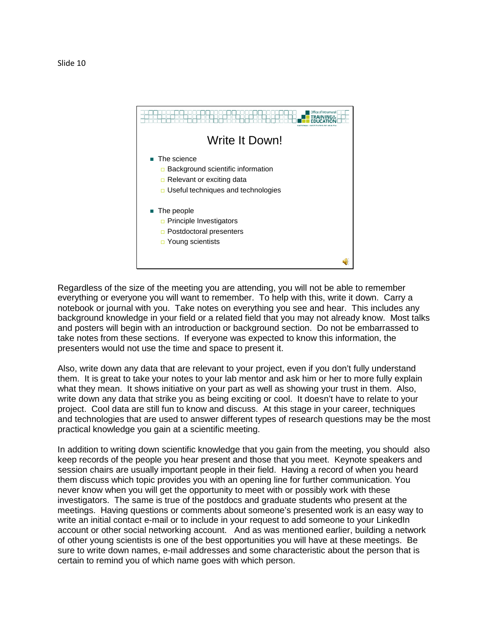

Regardless of the size of the meeting you are attending, you will not be able to remember everything or everyone you will want to remember. To help with this, write it down. Carry a notebook or journal with you. Take notes on everything you see and hear. This includes any background knowledge in your field or a related field that you may not already know. Most talks and posters will begin with an introduction or background section. Do not be embarrassed to take notes from these sections. If everyone was expected to know this information, the presenters would not use the time and space to present it.

Also, write down any data that are relevant to your project, even if you don't fully understand them. It is great to take your notes to your lab mentor and ask him or her to more fully explain what they mean. It shows initiative on your part as well as showing your trust in them. Also, write down any data that strike you as being exciting or cool. It doesn't have to relate to your project. Cool data are still fun to know and discuss. At this stage in your career, techniques and technologies that are used to answer different types of research questions may be the most practical knowledge you gain at a scientific meeting.

In addition to writing down scientific knowledge that you gain from the meeting, you should also keep records of the people you hear present and those that you meet. Keynote speakers and session chairs are usually important people in their field. Having a record of when you heard them discuss which topic provides you with an opening line for further communication. You never know when you will get the opportunity to meet with or possibly work with these investigators. The same is true of the postdocs and graduate students who present at the meetings. Having questions or comments about someone's presented work is an easy way to write an initial contact e-mail or to include in your request to add someone to your LinkedIn account or other social networking account. And as was mentioned earlier, building a network of other young scientists is one of the best opportunities you will have at these meetings. Be sure to write down names, e-mail addresses and some characteristic about the person that is certain to remind you of which name goes with which person.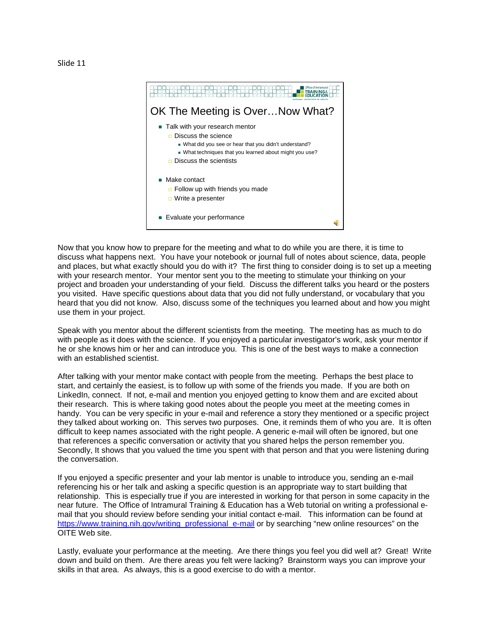

Now that you know how to prepare for the meeting and what to do while you are there, it is time to discuss what happens next. You have your notebook or journal full of notes about science, data, people and places, but what exactly should you do with it? The first thing to consider doing is to set up a meeting with your research mentor. Your mentor sent you to the meeting to stimulate your thinking on your project and broaden your understanding of your field. Discuss the different talks you heard or the posters you visited. Have specific questions about data that you did not fully understand, or vocabulary that you heard that you did not know. Also, discuss some of the techniques you learned about and how you might use them in your project.

Speak with you mentor about the different scientists from the meeting. The meeting has as much to do with people as it does with the science. If you enjoyed a particular investigator's work, ask your mentor if he or she knows him or her and can introduce you. This is one of the best ways to make a connection with an established scientist.

After talking with your mentor make contact with people from the meeting. Perhaps the best place to start, and certainly the easiest, is to follow up with some of the friends you made. If you are both on LinkedIn, connect. If not, e-mail and mention you enjoyed getting to know them and are excited about their research. This is where taking good notes about the people you meet at the meeting comes in handy. You can be very specific in your e-mail and reference a story they mentioned or a specific project they talked about working on. This serves two purposes. One, it reminds them of who you are. It is often difficult to keep names associated with the right people. A generic e-mail will often be ignored, but one that references a specific conversation or activity that you shared helps the person remember you. Secondly, It shows that you valued the time you spent with that person and that you were listening during the conversation.

If you enjoyed a specific presenter and your lab mentor is unable to introduce you, sending an e-mail referencing his or her talk and asking a specific question is an appropriate way to start building that relationship. This is especially true if you are interested in working for that person in some capacity in the near future. The Office of Intramural Training & Education has a Web tutorial on writing a professional email that you should review before sending your initial contact e-mail. This information can be found at [https://www.training.nih.gov/writing\\_professional\\_e-mail](https://www.training.nih.gov/writing_professional_e-mail) or by searching "new online resources" on the OITE Web site.

Lastly, evaluate your performance at the meeting. Are there things you feel you did well at? Great! Write down and build on them. Are there areas you felt were lacking? Brainstorm ways you can improve your skills in that area. As always, this is a good exercise to do with a mentor.

Slide 11